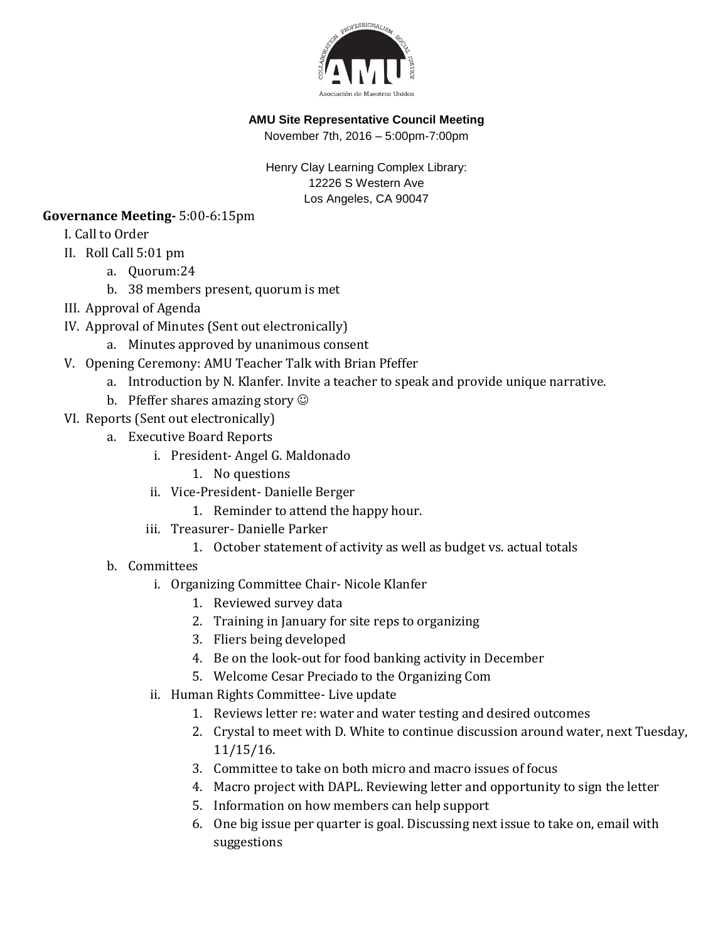

### **AMU Site Representative Council Meeting**

November 7th, 2016 – 5:00pm-7:00pm

Henry Clay Learning Complex Library: 12226 S Western Ave Los Angeles, CA 90047

### **Governance Meeting-** 5:00-6:15pm

I. Call to Order

- II. Roll Call 5:01 pm
	- a. Quorum:24
		- b. 38 members present, quorum is met
- III. Approval of Agenda
- IV. Approval of Minutes (Sent out electronically)
	- a. Minutes approved by unanimous consent
- V. Opening Ceremony: AMU Teacher Talk with Brian Pfeffer
	- a. Introduction by N. Klanfer. Invite a teacher to speak and provide unique narrative.
	- b. Pfeffer shares amazing story  $\odot$
- VI. Reports (Sent out electronically)
	- a. Executive Board Reports
		- i. President- Angel G. Maldonado
			- 1. No questions
		- ii. Vice-President- Danielle Berger
			- 1. Reminder to attend the happy hour.
		- iii. Treasurer- Danielle Parker
			- 1. October statement of activity as well as budget vs. actual totals
	- b. Committees
		- i. Organizing Committee Chair- Nicole Klanfer
			- 1. Reviewed survey data
			- 2. Training in January for site reps to organizing
			- 3. Fliers being developed
			- 4. Be on the look-out for food banking activity in December
			- 5. Welcome Cesar Preciado to the Organizing Com
		- ii. Human Rights Committee- Live update
			- 1. Reviews letter re: water and water testing and desired outcomes
			- 2. Crystal to meet with D. White to continue discussion around water, next Tuesday, 11/15/16.
			- 3. Committee to take on both micro and macro issues of focus
			- 4. Macro project with DAPL. Reviewing letter and opportunity to sign the letter
			- 5. Information on how members can help support
			- 6. One big issue per quarter is goal. Discussing next issue to take on, email with suggestions